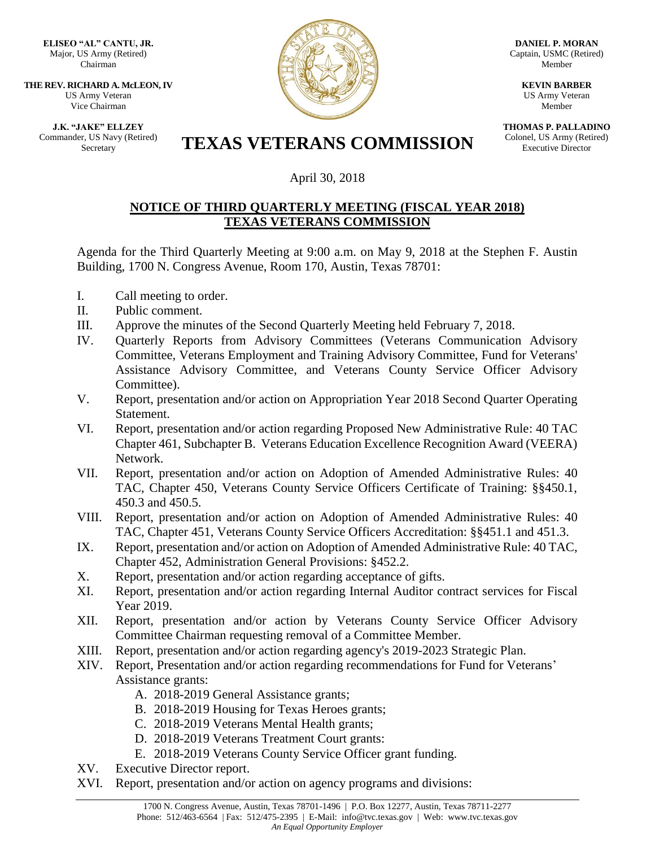**ELISEO "AL" CANTU, JR.** Major, US Army (Retired) Chairman

**THE REV. RICHARD A. McLEON, IV** US Army Veteran Vice Chairman

**J.K. "JAKE" ELLZEY** Commander, US Navy (Retired)



**DANIEL P. MORAN** Captain, USMC (Retired) Member

> **KEVIN BARBER** US Army Veteran Member

**THOMAS P. PALLADINO** Colonel, US Army (Retired) Executive Director

## Er, US Navy (Retired) **TEXAS VETERANS COMMISSION**

## April 30, 2018

## **NOTICE OF THIRD QUARTERLY MEETING (FISCAL YEAR 2018) TEXAS VETERANS COMMISSION**

Agenda for the Third Quarterly Meeting at 9:00 a.m. on May 9, 2018 at the Stephen F. Austin Building, 1700 N. Congress Avenue, Room 170, Austin, Texas 78701:

- I. Call meeting to order.
- II. Public comment.
- III. Approve the minutes of the Second Quarterly Meeting held February 7, 2018.
- IV. Quarterly Reports from Advisory Committees (Veterans Communication Advisory Committee, Veterans Employment and Training Advisory Committee, Fund for Veterans' Assistance Advisory Committee, and Veterans County Service Officer Advisory Committee).
- V. Report, presentation and/or action on Appropriation Year 2018 Second Quarter Operating Statement.
- VI. Report, presentation and/or action regarding Proposed New Administrative Rule: 40 TAC Chapter 461, Subchapter B. Veterans Education Excellence Recognition Award (VEERA) Network.
- VII. Report, presentation and/or action on Adoption of Amended Administrative Rules: 40 TAC, Chapter 450, Veterans County Service Officers Certificate of Training: §§450.1, 450.3 and 450.5.
- VIII. Report, presentation and/or action on Adoption of Amended Administrative Rules: 40 TAC, Chapter 451, Veterans County Service Officers Accreditation: §§451.1 and 451.3.
- IX. Report, presentation and/or action on Adoption of Amended Administrative Rule: 40 TAC, Chapter 452, Administration General Provisions: §452.2.
- X. Report, presentation and/or action regarding acceptance of gifts.
- XI. Report, presentation and/or action regarding Internal Auditor contract services for Fiscal Year 2019.
- XII. Report, presentation and/or action by Veterans County Service Officer Advisory Committee Chairman requesting removal of a Committee Member.
- XIII. Report, presentation and/or action regarding agency's 2019-2023 Strategic Plan.
- XIV. Report, Presentation and/or action regarding recommendations for Fund for Veterans' Assistance grants:
	- A. 2018-2019 General Assistance grants;
	- B. 2018-2019 Housing for Texas Heroes grants;
	- C. 2018-2019 Veterans Mental Health grants;
	- D. 2018-2019 Veterans Treatment Court grants:
	- E. 2018-2019 Veterans County Service Officer grant funding.
- XV. Executive Director report.
- XVI. Report, presentation and/or action on agency programs and divisions: